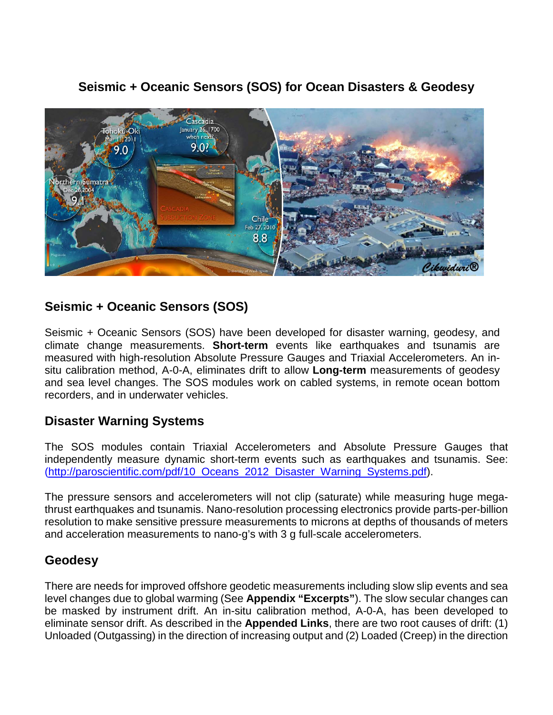

# **Seismic + Oceanic Sensors (SOS) for Ocean Disasters & Geodesy**

# **Seismic + Oceanic Sensors (SOS)**

Seismic + Oceanic Sensors (SOS) have been developed for disaster warning, geodesy, and climate change measurements. **Short-term** events like earthquakes and tsunamis are measured with high-resolution Absolute Pressure Gauges and Triaxial Accelerometers. An insitu calibration method, A-0-A, eliminates drift to allow **Long-term** measurements of geodesy and sea level changes. The SOS modules work on cabled systems, in remote ocean bottom recorders, and in underwater vehicles.

## **Disaster Warning Systems**

The SOS modules contain Triaxial Accelerometers and Absolute Pressure Gauges that independently measure dynamic short-term events such as earthquakes and tsunamis. See: [\(http://paroscientific.com/pdf/10\\_Oceans\\_2012\\_Disaster\\_Warning\\_Systems.pdf\)](http://paroscientific.com/pdf/10_Oceans_2012_Disaster_Warning_Systems.pdf).

The pressure sensors and accelerometers will not clip (saturate) while measuring huge megathrust earthquakes and tsunamis. Nano-resolution processing electronics provide parts-per-billion resolution to make sensitive pressure measurements to microns at depths of thousands of meters and acceleration measurements to nano-g's with 3 g full-scale accelerometers.

## **Geodesy**

There are needs for improved offshore geodetic measurements including slow slip events and sea level changes due to global warming (See **Appendix "Excerpts"**). The slow secular changes can be masked by instrument drift. An in-situ calibration method, A-0-A, has been developed to eliminate sensor drift. As described in the **Appended Links**, there are two root causes of drift: (1) Unloaded (Outgassing) in the direction of increasing output and (2) Loaded (Creep) in the direction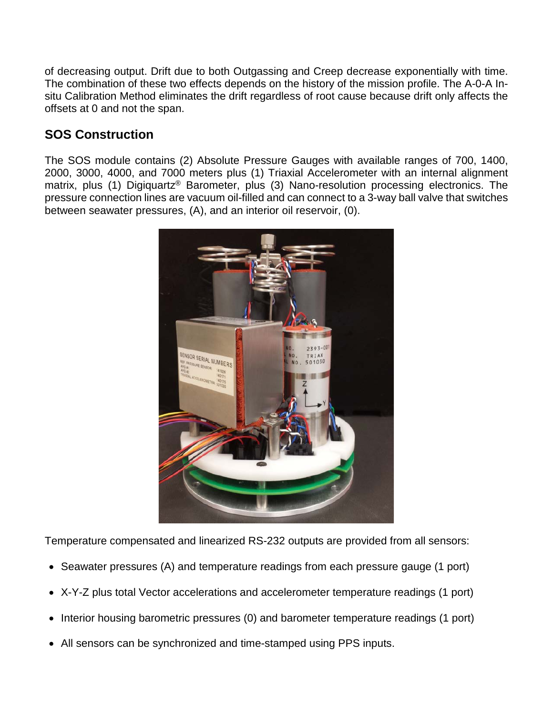of decreasing output. Drift due to both Outgassing and Creep decrease exponentially with time. The combination of these two effects depends on the history of the mission profile. The A-0-A Insitu Calibration Method eliminates the drift regardless of root cause because drift only affects the offsets at 0 and not the span.

# **SOS Construction**

The SOS module contains (2) Absolute Pressure Gauges with available ranges of 700, 1400, 2000, 3000, 4000, and 7000 meters plus (1) Triaxial Accelerometer with an internal alignment matrix, plus (1) Digiquartz<sup>®</sup> Barometer, plus (3) Nano-resolution processing electronics. The pressure connection lines are vacuum oil-filled and can connect to a 3-way ball valve that switches between seawater pressures, (A), and an interior oil reservoir, (0).



Temperature compensated and linearized RS-232 outputs are provided from all sensors:

- Seawater pressures (A) and temperature readings from each pressure gauge (1 port)
- X-Y-Z plus total Vector accelerations and accelerometer temperature readings (1 port)
- Interior housing barometric pressures (0) and barometer temperature readings (1 port)
- All sensors can be synchronized and time-stamped using PPS inputs.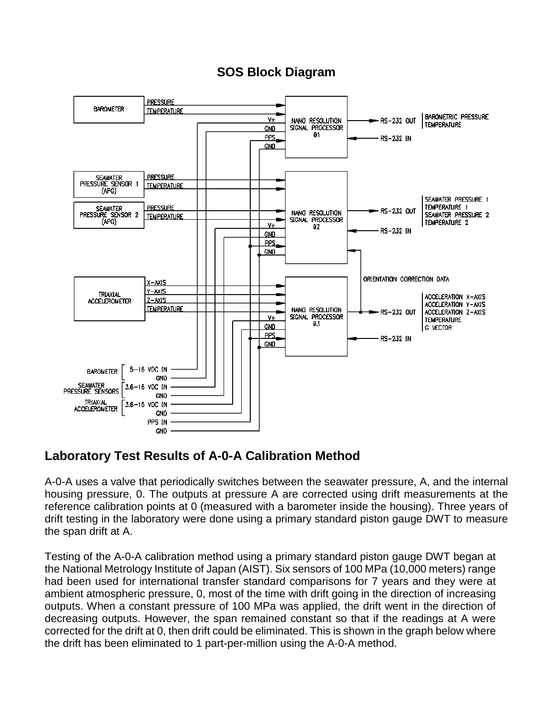# **SOS Block Diagram**



## **Laboratory Test Results of A-0-A Calibration Method**

A-0-A uses a valve that periodically switches between the seawater pressure, A, and the internal housing pressure, 0. The outputs at pressure A are corrected using drift measurements at the reference calibration points at 0 (measured with a barometer inside the housing). Three years of drift testing in the laboratory were done using a primary standard piston gauge DWT to measure the span drift at A.

Testing of the A-0-A calibration method using a primary standard piston gauge DWT began at the National Metrology Institute of Japan (AIST). Six sensors of 100 MPa (10,000 meters) range had been used for international transfer standard comparisons for 7 years and they were at ambient atmospheric pressure, 0, most of the time with drift going in the direction of increasing outputs. When a constant pressure of 100 MPa was applied, the drift went in the direction of decreasing outputs. However, the span remained constant so that if the readings at A were corrected for the drift at 0, then drift could be eliminated. This is shown in the graph below where the drift has been eliminated to 1 part-per-million using the A-0-A method.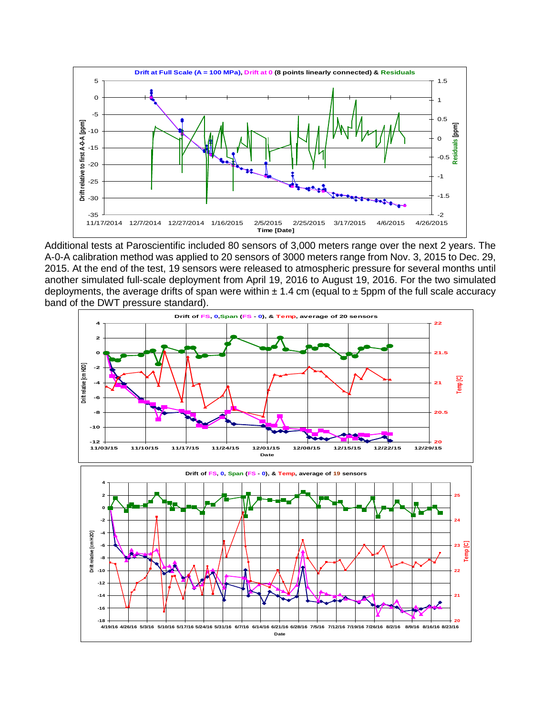

Additional tests at Paroscientific included 80 sensors of 3,000 meters range over the next 2 years. The A-0-A calibration method was applied to 20 sensors of 3000 meters range from Nov. 3, 2015 to Dec. 29, 2015. At the end of the test, 19 sensors were released to atmospheric pressure for several months until another simulated full-scale deployment from April 19, 2016 to August 19, 2016. For the two simulated deployments, the average drifts of span were within  $\pm$  1.4 cm (equal to  $\pm$  5ppm of the full scale accuracy band of the DWT pressure standard).

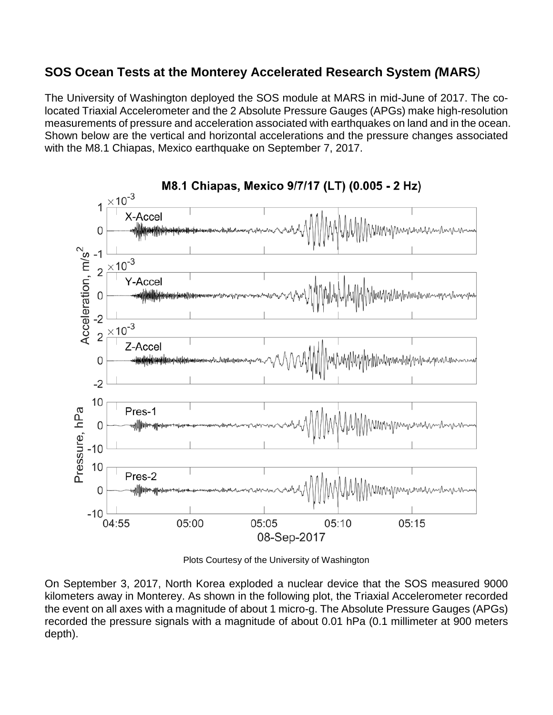## **SOS Ocean Tests at the Monterey Accelerated Research System** *(***MARS***)*

The University of Washington deployed the SOS module at MARS in mid-June of 2017. The colocated Triaxial Accelerometer and the 2 Absolute Pressure Gauges (APGs) make high-resolution measurements of pressure and acceleration associated with earthquakes on land and in the ocean. Shown below are the vertical and horizontal accelerations and the pressure changes associated with the M8.1 Chiapas, Mexico earthquake on September 7, 2017.



M8.1 Chiapas, Mexico 9/7/17 (LT) (0.005 - 2 Hz)

Plots Courtesy of the University of Washington

On September 3, 2017, North Korea exploded a nuclear device that the SOS measured 9000 kilometers away in Monterey. As shown in the following plot, the Triaxial Accelerometer recorded the event on all axes with a magnitude of about 1 micro-g. The Absolute Pressure Gauges (APGs) recorded the pressure signals with a magnitude of about 0.01 hPa (0.1 millimeter at 900 meters depth).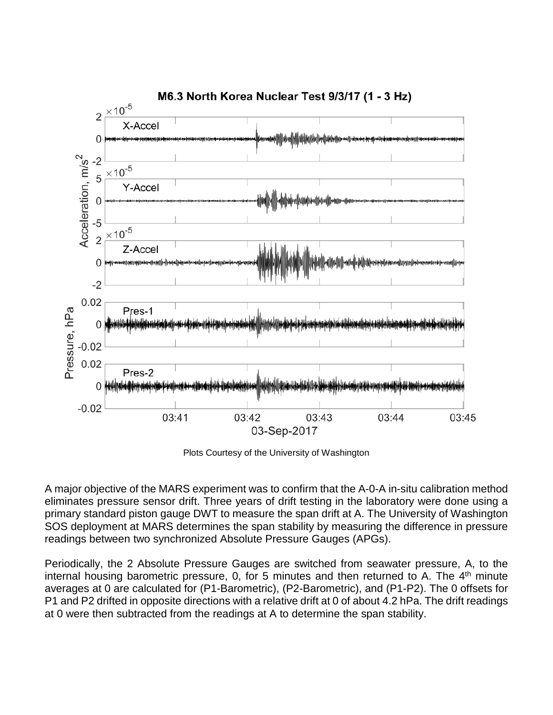

Plots Courtesy of the University of Washington

A major objective of the MARS experiment was to confirm that the A-0-A in-situ calibration method eliminates pressure sensor drift. Three years of drift testing in the laboratory were done using a primary standard piston gauge DWT to measure the span drift at A. The University of Washington SOS deployment at MARS determines the span stability by measuring the difference in pressure readings between two synchronized Absolute Pressure Gauges (APGs).

Periodically, the 2 Absolute Pressure Gauges are switched from seawater pressure, A, to the internal housing barometric pressure, 0, for 5 minutes and then returned to A. The  $4<sup>th</sup>$  minute averages at 0 are calculated for (P1-Barometric), (P2-Barometric), and (P1-P2). The 0 offsets for P1 and P2 drifted in opposite directions with a relative drift at 0 of about 4.2 hPa. The drift readings at 0 were then subtracted from the readings at A to determine the span stability.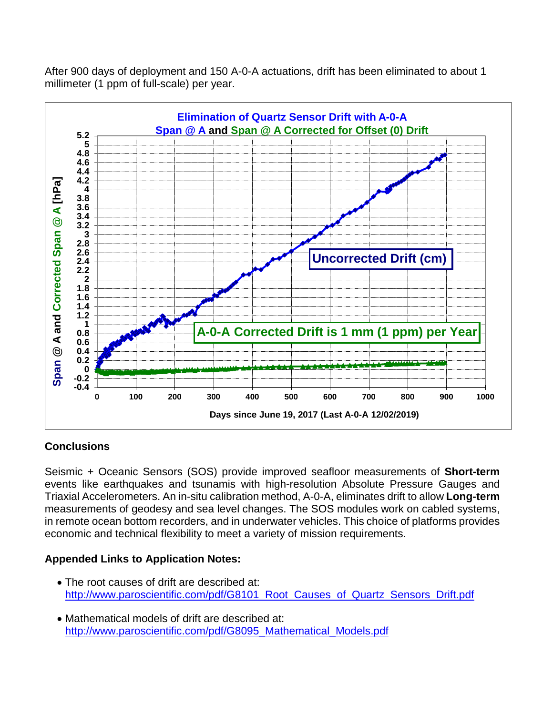After 900 days of deployment and 150 A-0-A actuations, drift has been eliminated to about 1 millimeter (1 ppm of full-scale) per year.



### **Conclusions**

Seismic + Oceanic Sensors (SOS) provide improved seafloor measurements of **Short-term** events like earthquakes and tsunamis with high-resolution Absolute Pressure Gauges and Triaxial Accelerometers. An in-situ calibration method, A-0-A, eliminates drift to allow **Long-term** measurements of geodesy and sea level changes. The SOS modules work on cabled systems, in remote ocean bottom recorders, and in underwater vehicles. This choice of platforms provides economic and technical flexibility to meet a variety of mission requirements.

### **Appended Links to Application Notes:**

- The root causes of drift are described at: [http://www.paroscientific.com/pdf/G8101\\_Root\\_Causes\\_of\\_Quartz\\_Sensors\\_Drift.pdf](http://www.paroscientific.com/pdf/G8101_Root_Causes_of_Quartz_Sensors_Drift.pdf)
- Mathematical models of drift are described at: [http://www.paroscientific.com/pdf/G8095\\_Mathematical\\_Models.pdf](http://www.paroscientific.com/pdf/G8095_Mathematical_Models.pdf)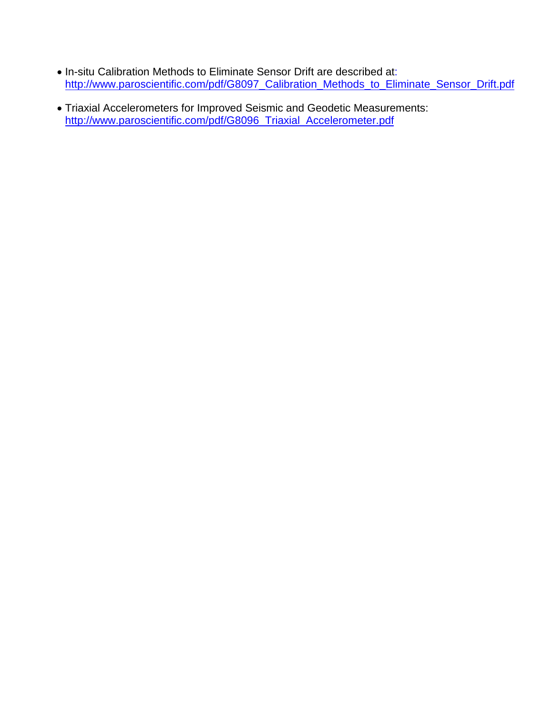- In-situ Calibration Methods to Eliminate Sensor Drift are described at: [http://www.paroscientific.com/pdf/G8097\\_Calibration\\_Methods\\_to\\_Eliminate\\_Sensor\\_Drift.pdf](http://www.paroscientific.com/pdf/G8097_Calibration_Methods_to_Eliminate_Sensor_Drift.pdf)
- Triaxial Accelerometers for Improved Seismic and Geodetic Measurements: [http://www.paroscientific.com/pdf/G8096\\_Triaxial\\_Accelerometer.pdf](http://www.paroscientific.com/pdf/G8096_Triaxial_Accelerometer.pdf)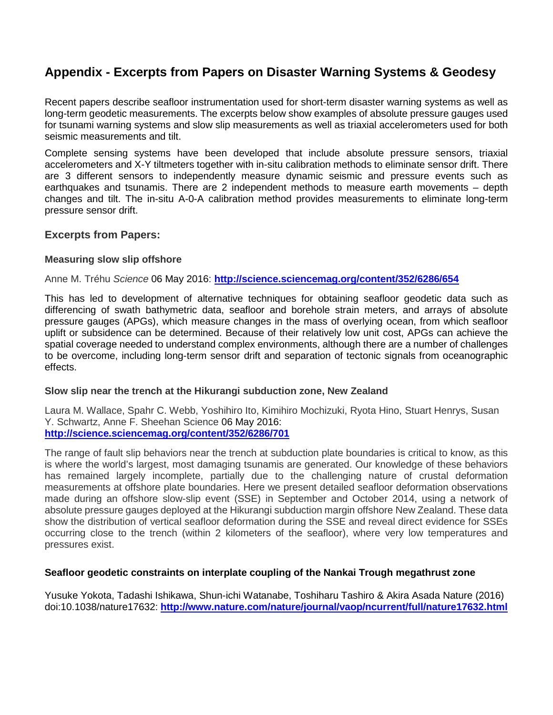# **Appendix - Excerpts from Papers on Disaster Warning Systems & Geodesy**

Recent papers describe seafloor instrumentation used for short-term disaster warning systems as well as long-term geodetic measurements. The excerpts below show examples of absolute pressure gauges used for tsunami warning systems and slow slip measurements as well as triaxial accelerometers used for both seismic measurements and tilt.

Complete sensing systems have been developed that include absolute pressure sensors, triaxial accelerometers and X-Y tiltmeters together with in-situ calibration methods to eliminate sensor drift. There are 3 different sensors to independently measure dynamic seismic and pressure events such as earthquakes and tsunamis. There are 2 independent methods to measure earth movements – depth changes and tilt. The in-situ A-0-A calibration method provides measurements to eliminate long-term pressure sensor drift.

#### **Excerpts from Papers:**

#### **Measuring slow slip offshore**

Anne M. Tréhu *Science* 06 May 2016: **<http://science.sciencemag.org/content/352/6286/654>**

This has led to development of alternative techniques for obtaining seafloor geodetic data such as differencing of swath bathymetric data, seafloor and borehole strain meters, and arrays of absolute pressure gauges (APGs), which measure changes in the mass of overlying ocean, from which seafloor uplift or subsidence can be determined. Because of their relatively low unit cost, APGs can achieve the spatial coverage needed to understand complex environments, although there are a number of challenges to be overcome, including long-term sensor drift and separation of tectonic signals from oceanographic effects.

#### **Slow slip near the trench at the Hikurangi subduction zone, New Zealand**

Laura M. Wallace, Spahr C. Webb, Yoshihiro Ito, Kimihiro Mochizuki, Ryota Hino, Stuart Henrys, Susan Y. Schwartz, Anne F. Sheehan Science 06 May 2016: **<http://science.sciencemag.org/content/352/6286/701>**

The range of fault slip behaviors near the trench at subduction plate boundaries is critical to know, as this is where the world's largest, most damaging tsunamis are generated. Our knowledge of these behaviors has remained largely incomplete, partially due to the challenging nature of crustal deformation measurements at offshore plate boundaries. Here we present detailed seafloor deformation observations made during an offshore slow-slip event (SSE) in September and October 2014, using a network of absolute pressure gauges deployed at the Hikurangi subduction margin offshore New Zealand. These data show the distribution of vertical seafloor deformation during the SSE and reveal direct evidence for SSEs occurring close to the trench (within 2 kilometers of the seafloor), where very low temperatures and pressures exist.

#### **Seafloor geodetic constraints on interplate coupling of the Nankai Trough megathrust zone**

Yusuke Yokota, Tadashi Ishikawa, Shun-ichi Watanabe, Toshiharu Tashiro & Akira Asada Nature (2016) doi:10.1038/nature17632: **<http://www.nature.com/nature/journal/vaop/ncurrent/full/nature17632.html>**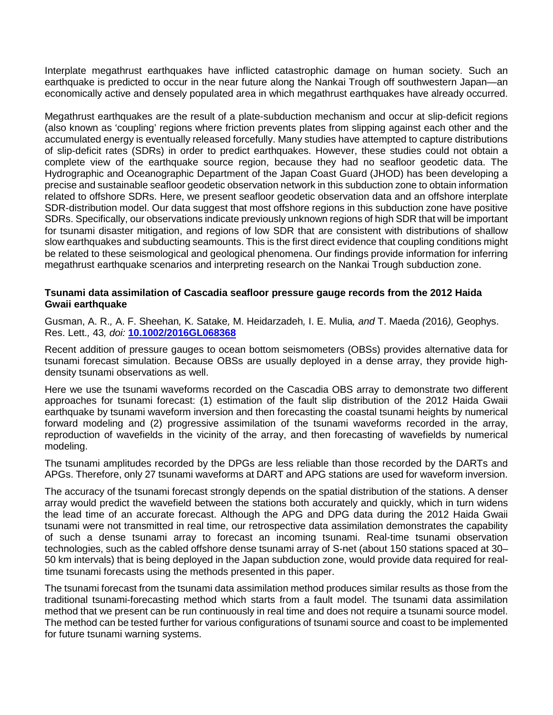Interplate megathrust earthquakes have inflicted catastrophic damage on human society. Such an earthquake is predicted to occur in the near future along the Nankai Trough off southwestern Japan—an economically active and densely populated area in which megathrust earthquakes have already occurred.

Megathrust earthquakes are the result of a plate-subduction mechanism and occur at slip-deficit regions (also known as 'coupling' regions where friction prevents plates from slipping against each other and the accumulated energy is eventually released forcefully. Many studies have attempted to capture distributions of slip-deficit rates (SDRs) in order to predict earthquakes. However, these studies could not obtain a complete view of the earthquake source region, because they had no seafloor geodetic data. The Hydrographic and Oceanographic Department of the Japan Coast Guard (JHOD) has been developing a precise and sustainable seafloor geodetic observation network in this subduction zone to obtain information related to offshore SDRs. Here, we present seafloor geodetic observation data and an offshore interplate SDR-distribution model. Our data suggest that most offshore regions in this subduction zone have positive SDRs. Specifically, our observations indicate previously unknown regions of high SDR that will be important for tsunami disaster mitigation, and regions of low SDR that are consistent with distributions of shallow slow earthquakes and subducting seamounts. This is the first direct evidence that coupling conditions might be related to these seismological and geological phenomena. Our findings provide information for inferring megathrust earthquake scenarios and interpreting research on the Nankai Trough subduction zone.

#### **Tsunami data assimilation of Cascadia seafloor pressure gauge records from the 2012 Haida Gwaii earthquake**

Gusman, A. R.*,* A. F. Sheehan*,* K. Satake*,* M. Heidarzadeh*,* I. E. Mulia*, and* T. Maeda *(*2016*),* Geophys. Res. Lett.*,* 43*, doi:* **[10.1002/2016GL068368](http://dx.doi.org/10.1002/2016GL068368)**

Recent addition of pressure gauges to ocean bottom seismometers (OBSs) provides alternative data for tsunami forecast simulation. Because OBSs are usually deployed in a dense array, they provide highdensity tsunami observations as well.

Here we use the tsunami waveforms recorded on the Cascadia OBS array to demonstrate two different approaches for tsunami forecast: (1) estimation of the fault slip distribution of the 2012 Haida Gwaii earthquake by tsunami waveform inversion and then forecasting the coastal tsunami heights by numerical forward modeling and (2) progressive assimilation of the tsunami waveforms recorded in the array, reproduction of wavefields in the vicinity of the array, and then forecasting of wavefields by numerical modeling.

The tsunami amplitudes recorded by the DPGs are less reliable than those recorded by the DARTs and APGs. Therefore, only 27 tsunami waveforms at DART and APG stations are used for waveform inversion.

The accuracy of the tsunami forecast strongly depends on the spatial distribution of the stations. A denser array would predict the wavefield between the stations both accurately and quickly, which in turn widens the lead time of an accurate forecast. Although the APG and DPG data during the 2012 Haida Gwaii tsunami were not transmitted in real time, our retrospective data assimilation demonstrates the capability of such a dense tsunami array to forecast an incoming tsunami. Real-time tsunami observation technologies, such as the cabled offshore dense tsunami array of S-net (about 150 stations spaced at 30– 50 km intervals) that is being deployed in the Japan subduction zone, would provide data required for realtime tsunami forecasts using the methods presented in this paper.

The tsunami forecast from the tsunami data assimilation method produces similar results as those from the traditional tsunami-forecasting method which starts from a fault model. The tsunami data assimilation method that we present can be run continuously in real time and does not require a tsunami source model. The method can be tested further for various configurations of tsunami source and coast to be implemented for future tsunami warning systems.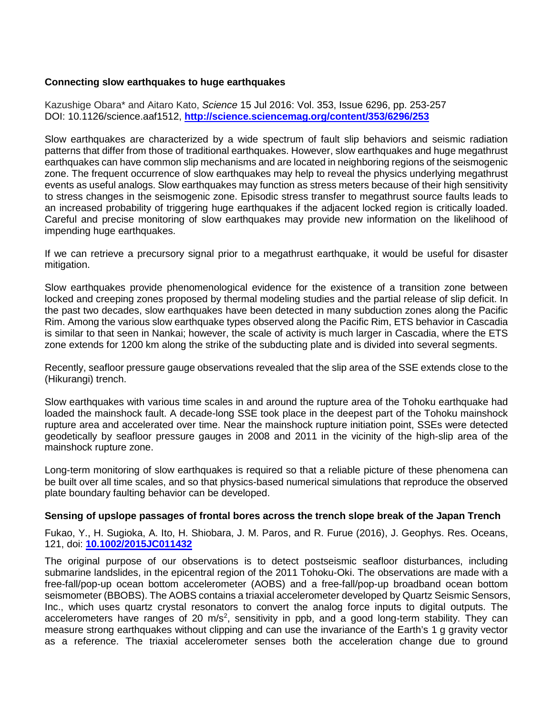#### **Connecting slow earthquakes to huge earthquakes**

Kazushige Obara\* and Aitaro Kato, *Science* 15 Jul 2016: Vol. 353, Issue 6296, pp. 253-257 DOI: 10.1126/science.aaf1512, **<http://science.sciencemag.org/content/353/6296/253>**

Slow earthquakes are characterized by a wide spectrum of fault slip behaviors and seismic radiation patterns that differ from those of traditional earthquakes. However, slow earthquakes and huge megathrust earthquakes can have common slip mechanisms and are located in neighboring regions of the seismogenic zone. The frequent occurrence of slow earthquakes may help to reveal the physics underlying megathrust events as useful analogs. Slow earthquakes may function as stress meters because of their high sensitivity to stress changes in the seismogenic zone. Episodic stress transfer to megathrust source faults leads to an increased probability of triggering huge earthquakes if the adjacent locked region is critically loaded. Careful and precise monitoring of slow earthquakes may provide new information on the likelihood of impending huge earthquakes.

If we can retrieve a precursory signal prior to a megathrust earthquake, it would be useful for disaster mitigation.

Slow earthquakes provide phenomenological evidence for the existence of a transition zone between locked and creeping zones proposed by thermal modeling studies and the partial release of slip deficit. In the past two decades, slow earthquakes have been detected in many subduction zones along the Pacific Rim. Among the various slow earthquake types observed along the Pacific Rim, ETS behavior in Cascadia is similar to that seen in Nankai; however, the scale of activity is much larger in Cascadia, where the ETS zone extends for 1200 km along the strike of the subducting plate and is divided into several segments.

Recently, seafloor pressure gauge observations revealed that the slip area of the SSE extends close to the (Hikurangi) trench.

Slow earthquakes with various time scales in and around the rupture area of the Tohoku earthquake had loaded the mainshock fault. A decade-long SSE took place in the deepest part of the Tohoku mainshock rupture area and accelerated over time. Near the mainshock rupture initiation point, SSEs were detected geodetically by seafloor pressure gauges in 2008 and 2011 in the vicinity of the high-slip area of the mainshock rupture zone.

Long-term monitoring of slow earthquakes is required so that a reliable picture of these phenomena can be built over all time scales, and so that physics-based numerical simulations that reproduce the observed plate boundary faulting behavior can be developed.

#### **Sensing of upslope passages of frontal bores across the trench slope break of the Japan Trench**

Fukao, Y., H. Sugioka, A. Ito, H. Shiobara, J. M. Paros, and R. Furue (2016), J. Geophys. Res. Oceans, 121, doi: **[10.1002/2015JC011432](http://dx.doi.org/10.1002/2015JC011432)**

The original purpose of our observations is to detect postseismic seafloor disturbances, including submarine landslides, in the epicentral region of the 2011 Tohoku-Oki. The observations are made with a free-fall/pop-up ocean bottom accelerometer (AOBS) and a free-fall/pop-up broadband ocean bottom seismometer (BBOBS). The AOBS contains a triaxial accelerometer developed by Quartz Seismic Sensors, Inc., which uses quartz crystal resonators to convert the analog force inputs to digital outputs. The accelerometers have ranges of 20 m/s<sup>2</sup>, sensitivity in ppb, and a good long-term stability. They can measure strong earthquakes without clipping and can use the invariance of the Earth's 1 g gravity vector as a reference. The triaxial accelerometer senses both the acceleration change due to ground